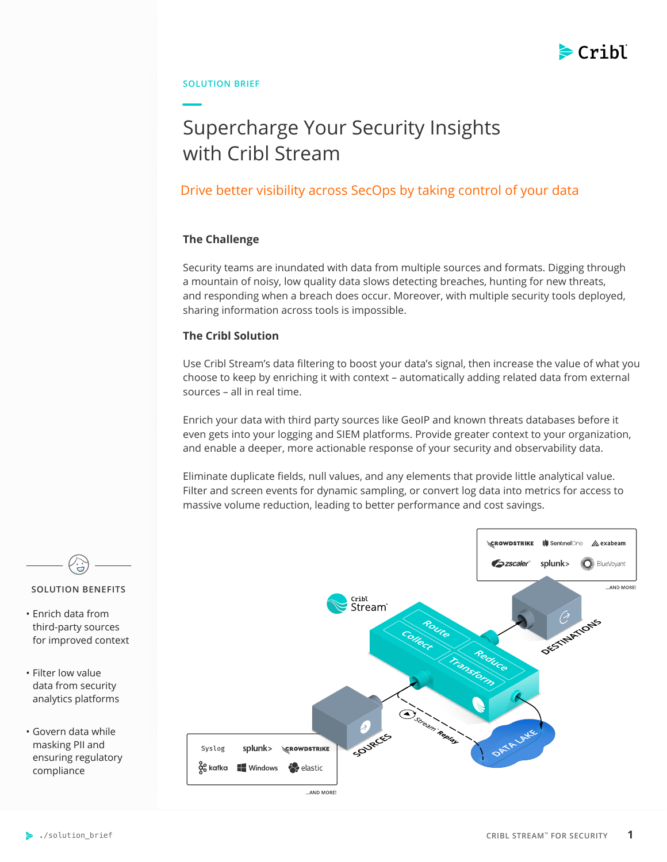

# **SOLUTION BRIEF**

# Supercharge Your Security Insights with Cribl Stream

# Drive better visibility across SecOps by taking control of your data

# **The Challenge**

Security teams are inundated with data from multiple sources and formats. Digging through a mountain of noisy, low quality data slows detecting breaches, hunting for new threats, and responding when a breach does occur. Moreover, with multiple security tools deployed, sharing information across tools is impossible.

# **The Cribl Solution**

Use Cribl Stream's data filtering to boost your data's signal, then increase the value of what you choose to keep by enriching it with context – automatically adding related data from external sources – all in real time.

Enrich your data with third party sources like GeoIP and known threats databases before it even gets into your logging and SIEM platforms. Provide greater context to your organization, and enable a deeper, more actionable response of your security and observability data.

Eliminate duplicate fields, null values, and any elements that provide little analytical value. Filter and screen events for dynamic sampling, or convert log data into metrics for access to massive volume reduction, leading to better performance and cost savings.





- Enrich data from third-party sources for improved context
- Filter low value data from security analytics platforms
- Govern data while masking PII and ensuring regulatory compliance